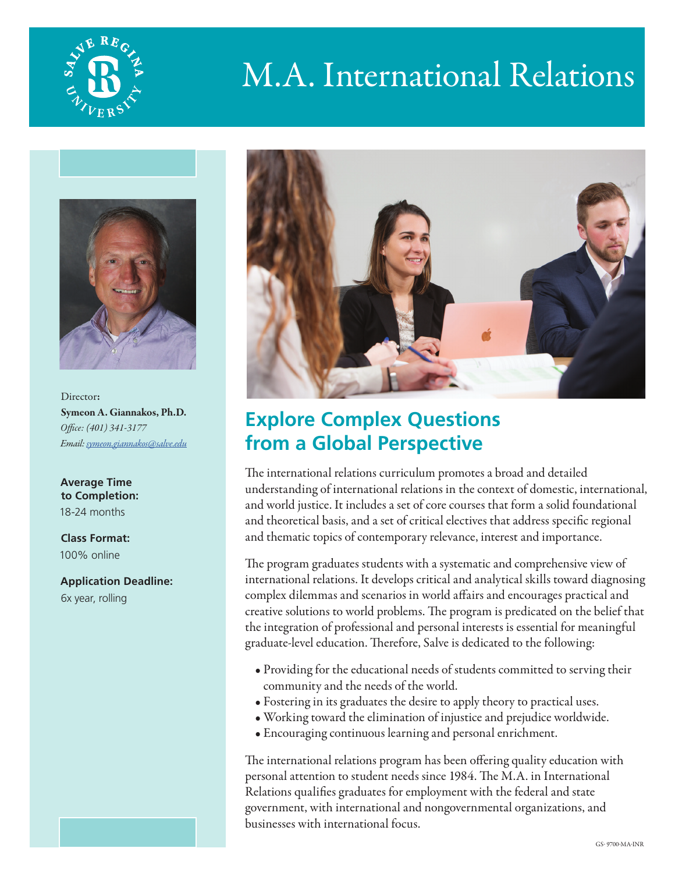

# M.A. International Relations



Director: Symeon A. Giannakos, Ph.D. *Office: (401) 341-3177 Email: [symeon.giannakos@salve.edu](mailto:symeon.giannakos%40salve.edu?subject=)*

**Average Time to Completion:** 18-24 months

**Class Format:**  100% online

**Application Deadline:**  6x year, rolling



## **Explore Complex Questions from a Global Perspective**

The international relations curriculum promotes a broad and detailed understanding of international relations in the context of domestic, international, and world justice. It includes a set of core courses that form a solid foundational and theoretical basis, and a set of critical electives that address specific regional and thematic topics of contemporary relevance, interest and importance.

The program graduates students with a systematic and comprehensive view of international relations. It develops critical and analytical skills toward diagnosing complex dilemmas and scenarios in world affairs and encourages practical and creative solutions to world problems. The program is predicated on the belief that the integration of professional and personal interests is essential for meaningful graduate-level education. Therefore, Salve is dedicated to the following:

- Providing for the educational needs of students committed to serving their community and the needs of the world.
- Fostering in its graduates the desire to apply theory to practical uses.
- Working toward the elimination of injustice and prejudice worldwide.
- Encouraging continuous learning and personal enrichment.

The international relations program has been offering quality education with personal attention to student needs since 1984. The M.A. in International Relations qualifies graduates for employment with the federal and state government, with international and nongovernmental organizations, and businesses with international focus.